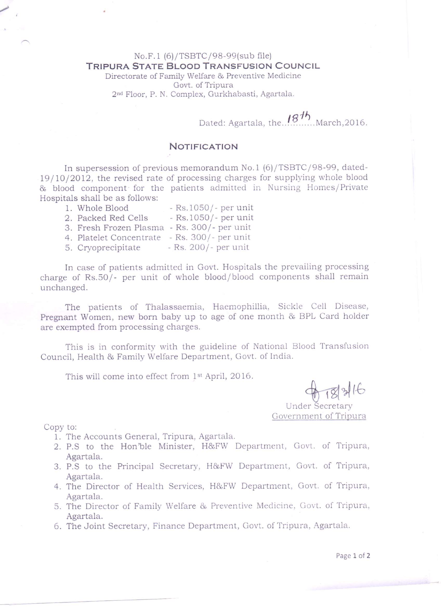## No.F.1 (6)/TSBTC/98-99(sub file) TRIPURA STATE BLOOD TRANSFUSION COUNCIL

Directorate of Family Welfare <sup>86</sup> Preventive Medicine Govt. of Tripura 2nd Floor, P. N. Complex, Gurkhabasti, Agartala.

Dated: Agartala, the.. $^{187^{\prime\prime}}$  March,2016.

## NOTIFICATION

In supersession of previous memorandum No.1 (6)/TSBTC/98-99, datedl9/10/2012, the revised rate of processing charges for supplying whole blood 81, blood component' for the patients admitted in Nursing Homes/Private Hospitals shall be as follows:

| 1. Whole Blood          | - Rs.1050/- per unit  |
|-------------------------|-----------------------|
| 2. Packed Red Cells     | - Rs. 1050/- per unit |
| 3. Fresh Frozen Plasma  | - Rs. 300/- per unit  |
| 4. Platelet Concentrate | - Rs. 300/- per unit  |
| 5. Cryoprecipitate      | - Rs. 200/- per unit  |

In case of patients admitted in Govt. Hospitals the prevailing processing charge of Rs.50/- per unit of whole blood/blood components shall remain unchanged.

The patients of Thalassaemia, Haemophillia, Sickle Cell Disease, Pregnant Women, new born baby up to age of one month & BPL Card holder are exempted from processing charges.

This is in conformity with the guideline of National Blood Transfusion Council, Health & Family Welfare Department, Govt. of India.

This will come into effect from 1<sup>st</sup> April, 2016.

Under Secretary

Government of Tripura

Copy to:

/

- 1. The Accounts General, Tripura, Agartala.
- 2. P.S to the Hon'ble Minister, H&FW Department, Govt. of Tripura, Agartala.
- 3. P.S to the Principal Secretary, H&FW Department, Govt. of Tripura, Agartala.
- 4. The Director of Health Services, H&FW Department, Govt. of Tripura, Agartala.
- 5. The Director of Family Welfare & Preventive Medicine, Govt. of Tripura, Agartala.
- 6. The Joint Secretary, Finance Department, Govt. of Tripura, Agartala.

Page 1 of 2